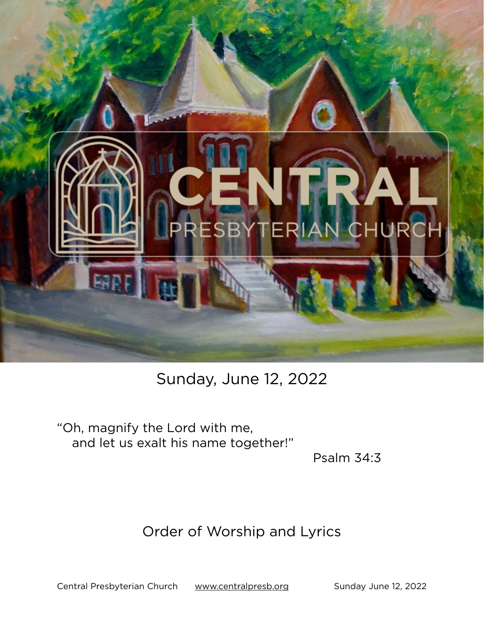

# Sunday, June 12, 2022

"Oh, magnify the Lord with me, and let us exalt his name together!"

Psalm 34:3

## Order of Worship and Lyrics

Central Presbyterian Church [www.centralpresb.org](http://www.centralpresb.org) Sunday June 12, 2022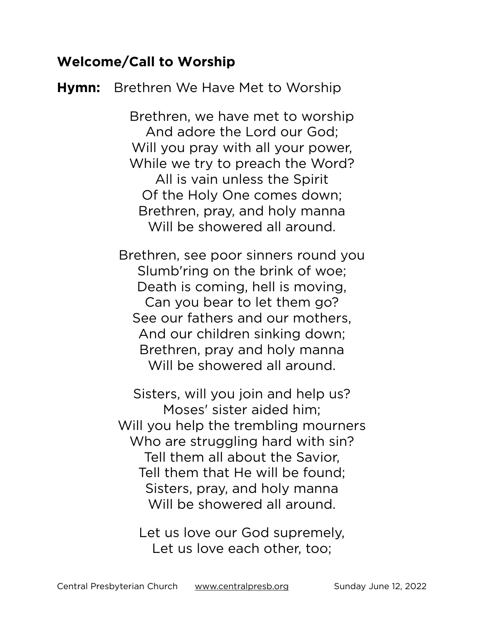## **Welcome/Call to Worship**

**Hymn:** Brethren We Have Met to Worship

Brethren, we have met to worship And adore the Lord our God; Will you pray with all your power, While we try to preach the Word? All is vain unless the Spirit Of the Holy One comes down; Brethren, pray, and holy manna Will be showered all around.

Brethren, see poor sinners round you Slumb'ring on the brink of woe; Death is coming, hell is moving, Can you bear to let them go? See our fathers and our mothers, And our children sinking down; Brethren, pray and holy manna Will be showered all around.

Sisters, will you join and help us? Moses' sister aided him; Will you help the trembling mourners Who are struggling hard with sin? Tell them all about the Savior, Tell them that He will be found; Sisters, pray, and holy manna Will be showered all around.

Let us love our God supremely, Let us love each other, too;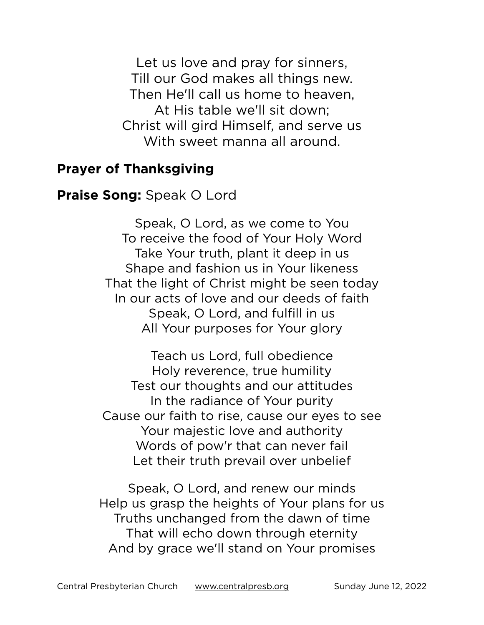Let us love and pray for sinners, Till our God makes all things new. Then He'll call us home to heaven, At His table we'll sit down; Christ will gird Himself, and serve us With sweet manna all around.

#### **Prayer of Thanksgiving**

## **Praise Song:** Speak O Lord

Speak, O Lord, as we come to You To receive the food of Your Holy Word Take Your truth, plant it deep in us Shape and fashion us in Your likeness That the light of Christ might be seen today In our acts of love and our deeds of faith Speak, O Lord, and fulfill in us All Your purposes for Your glory

Teach us Lord, full obedience Holy reverence, true humility Test our thoughts and our attitudes In the radiance of Your purity Cause our faith to rise, cause our eyes to see Your majestic love and authority Words of pow'r that can never fail Let their truth prevail over unbelief

Speak, O Lord, and renew our minds Help us grasp the heights of Your plans for us Truths unchanged from the dawn of time That will echo down through eternity And by grace we'll stand on Your promises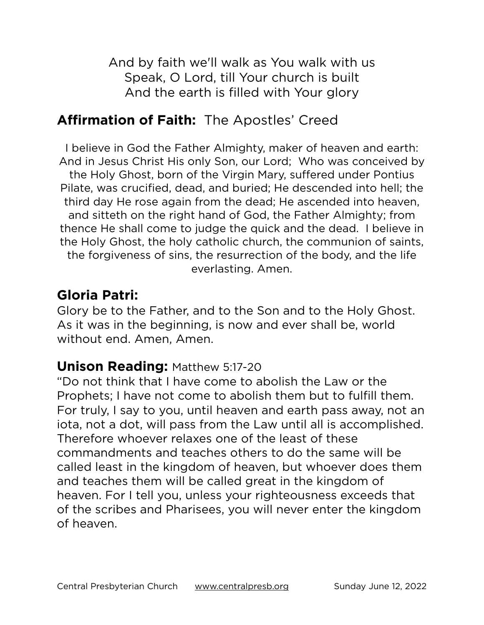And by faith we'll walk as You walk with us Speak, O Lord, till Your church is built And the earth is filled with Your glory

## **Affirmation of Faith:** The Apostles' Creed

I believe in God the Father Almighty, maker of heaven and earth: And in Jesus Christ His only Son, our Lord; Who was conceived by the Holy Ghost, born of the Virgin Mary, suffered under Pontius Pilate, was crucified, dead, and buried; He descended into hell; the third day He rose again from the dead; He ascended into heaven, and sitteth on the right hand of God, the Father Almighty; from thence He shall come to judge the quick and the dead. I believe in the Holy Ghost, the holy catholic church, the communion of saints, the forgiveness of sins, the resurrection of the body, and the life everlasting. Amen.

#### **Gloria Patri:**

Glory be to the Father, and to the Son and to the Holy Ghost. As it was in the beginning, is now and ever shall be, world without end. Amen, Amen.

#### **Unison Reading:** Matthew 5:17-20

"Do not think that I have come to abolish the Law or the Prophets; I have not come to abolish them but to fulfill them. For truly, I say to you, until heaven and earth pass away, not an iota, not a dot, will pass from the Law until all is accomplished. Therefore whoever relaxes one of the least of these commandments and teaches others to do the same will be called least in the kingdom of heaven, but whoever does them and teaches them will be called great in the kingdom of heaven. For I tell you, unless your righteousness exceeds that of the scribes and Pharisees, you will never enter the kingdom of heaven.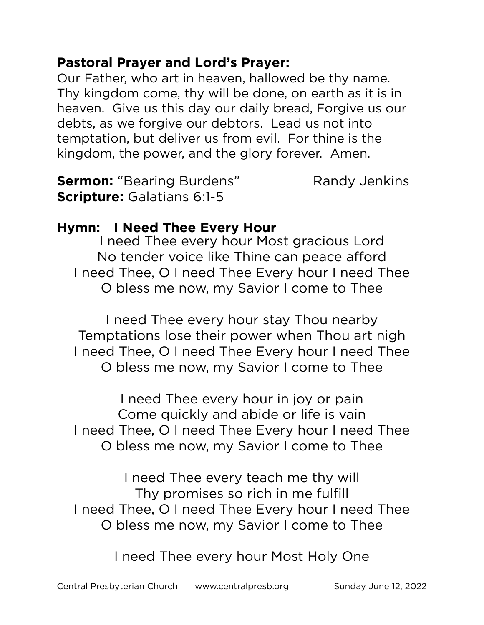## **Pastoral Prayer and Lord's Prayer:**

Our Father, who art in heaven, hallowed be thy name. Thy kingdom come, thy will be done, on earth as it is in heaven. Give us this day our daily bread, Forgive us our debts, as we forgive our debtors. Lead us not into temptation, but deliver us from evil. For thine is the kingdom, the power, and the glory forever. Amen.

**Sermon:** "Bearing Burdens" Randy Jenkins **Scripture:** Galatians 6:1-5

#### **Hymn: I Need Thee Every Hour**

I need Thee every hour Most gracious Lord No tender voice like Thine can peace afford I need Thee, O I need Thee Every hour I need Thee O bless me now, my Savior I come to Thee

I need Thee every hour stay Thou nearby Temptations lose their power when Thou art nigh I need Thee, O I need Thee Every hour I need Thee O bless me now, my Savior I come to Thee

I need Thee every hour in joy or pain Come quickly and abide or life is vain I need Thee, O I need Thee Every hour I need Thee O bless me now, my Savior I come to Thee

I need Thee every teach me thy will Thy promises so rich in me fulfill I need Thee, O I need Thee Every hour I need Thee O bless me now, my Savior I come to Thee

I need Thee every hour Most Holy One